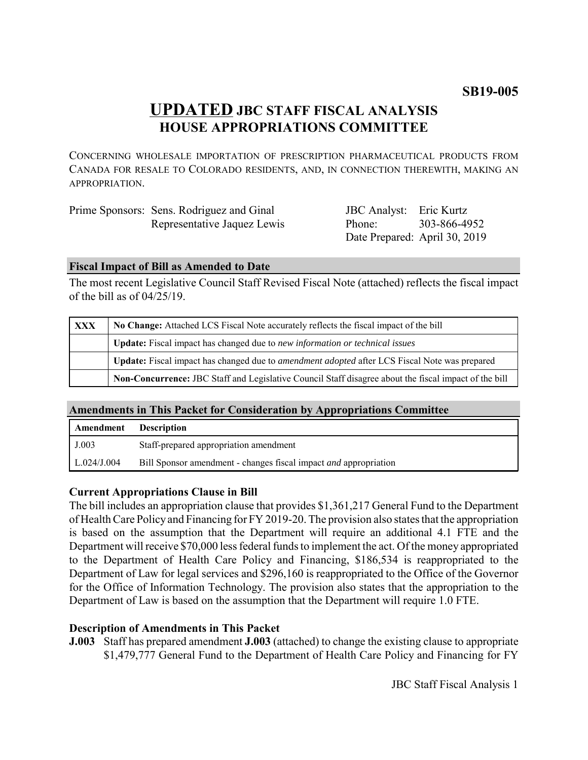# **UPDATED JBC STAFF FISCAL ANALYSIS HOUSE APPROPRIATIONS COMMITTEE**

CONCERNING WHOLESALE IMPORTATION OF PRESCRIPTION PHARMACEUTICAL PRODUCTS FROM CANADA FOR RESALE TO COLORADO RESIDENTS, AND, IN CONNECTION THEREWITH, MAKING AN APPROPRIATION.

| Prime Sponsors: Sens. Rodriguez and Ginal |  |  |  |  |
|-------------------------------------------|--|--|--|--|
| Representative Jaquez Lewis               |  |  |  |  |

JBC Analyst: Eric Kurtz Phone: Date Prepared: April 30, 2019 303-866-4952

#### **Fiscal Impact of Bill as Amended to Date**

The most recent Legislative Council Staff Revised Fiscal Note (attached) reflects the fiscal impact of the bill as of 04/25/19.

| <b>XXX</b> | No Change: Attached LCS Fiscal Note accurately reflects the fiscal impact of the bill                       |  |  |  |
|------------|-------------------------------------------------------------------------------------------------------------|--|--|--|
|            | <b>Update:</b> Fiscal impact has changed due to new information or technical issues                         |  |  |  |
|            | <b>Update:</b> Fiscal impact has changed due to <i>amendment adopted</i> after LCS Fiscal Note was prepared |  |  |  |
|            | Non-Concurrence: JBC Staff and Legislative Council Staff disagree about the fiscal impact of the bill       |  |  |  |

#### **Amendments in This Packet for Consideration by Appropriations Committee**

| Amendment          | <b>Description</b>                                                      |
|--------------------|-------------------------------------------------------------------------|
| J.003              | Staff-prepared appropriation amendment                                  |
| $\mid$ L.024/J.004 | Bill Sponsor amendment - changes fiscal impact <i>and</i> appropriation |

#### **Current Appropriations Clause in Bill**

The bill includes an appropriation clause that provides \$1,361,217 General Fund to the Department of Health Care Policy and Financing for FY 2019-20. The provision also states that the appropriation is based on the assumption that the Department will require an additional 4.1 FTE and the Department will receive \$70,000 less federal funds to implement the act. Of the money appropriated to the Department of Health Care Policy and Financing, \$186,534 is reappropriated to the Department of Law for legal services and \$296,160 is reappropriated to the Office of the Governor for the Office of Information Technology. The provision also states that the appropriation to the Department of Law is based on the assumption that the Department will require 1.0 FTE.

### **Description of Amendments in This Packet**

**J.003** Staff has prepared amendment **J.003** (attached) to change the existing clause to appropriate \$1,479,777 General Fund to the Department of Health Care Policy and Financing for FY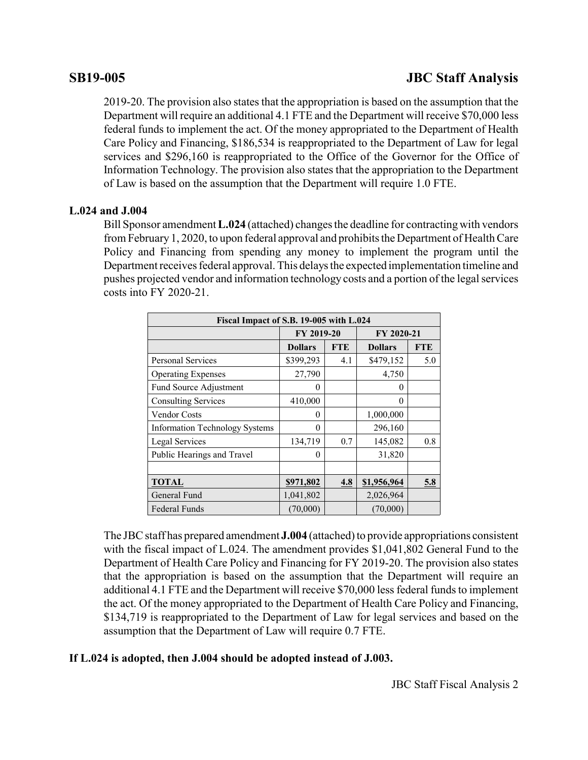## **SB19-005 JBC Staff Analysis**

2019-20. The provision also states that the appropriation is based on the assumption that the Department will require an additional 4.1 FTE and the Department will receive \$70,000 less federal funds to implement the act. Of the money appropriated to the Department of Health Care Policy and Financing, \$186,534 is reappropriated to the Department of Law for legal services and \$296,160 is reappropriated to the Office of the Governor for the Office of Information Technology. The provision also states that the appropriation to the Department of Law is based on the assumption that the Department will require 1.0 FTE.

#### **L.024 and J.004**

Bill Sponsor amendment **L.024** (attached) changes the deadline for contracting with vendors from February 1, 2020, to upon federal approval and prohibits the Department of Health Care Policy and Financing from spending any money to implement the program until the Department receives federal approval. This delays the expected implementation timeline and pushes projected vendor and information technology costs and a portion of the legal services costs into FY 2020-21.

| Fiscal Impact of S.B. 19-005 with L.024 |                |            |                |            |  |  |  |
|-----------------------------------------|----------------|------------|----------------|------------|--|--|--|
|                                         | FY 2019-20     |            | FY 2020-21     |            |  |  |  |
|                                         | <b>Dollars</b> | <b>FTE</b> | <b>Dollars</b> | <b>FTE</b> |  |  |  |
| <b>Personal Services</b>                | \$399,293      | 4.1        | \$479,152      | 5.0        |  |  |  |
| <b>Operating Expenses</b>               | 27,790         |            | 4,750          |            |  |  |  |
| Fund Source Adjustment                  | 0              |            | $\theta$       |            |  |  |  |
| <b>Consulting Services</b>              | 410,000        |            | $\theta$       |            |  |  |  |
| <b>Vendor Costs</b>                     | 0              |            | 1,000,000      |            |  |  |  |
| <b>Information Technology Systems</b>   | 0              |            | 296,160        |            |  |  |  |
| Legal Services                          | 134,719        | 0.7        | 145,082        | 0.8        |  |  |  |
| Public Hearings and Travel              | 0              |            | 31,820         |            |  |  |  |
|                                         |                |            |                |            |  |  |  |
| <b>TOTAL</b>                            | \$971,802      | 4.8        | \$1,956,964    | 5.8        |  |  |  |
| General Fund                            | 1,041,802      |            | 2,026,964      |            |  |  |  |
| <b>Federal Funds</b>                    | (70,000)       |            | (70,000)       |            |  |  |  |

The JBC staff has prepared amendment **J.004** (attached) to provide appropriations consistent with the fiscal impact of L.024. The amendment provides \$1,041,802 General Fund to the Department of Health Care Policy and Financing for FY 2019-20. The provision also states that the appropriation is based on the assumption that the Department will require an additional 4.1 FTE and the Department will receive \$70,000 less federal funds to implement the act. Of the money appropriated to the Department of Health Care Policy and Financing, \$134,719 is reappropriated to the Department of Law for legal services and based on the assumption that the Department of Law will require 0.7 FTE.

### **If L.024 is adopted, then J.004 should be adopted instead of J.003.**